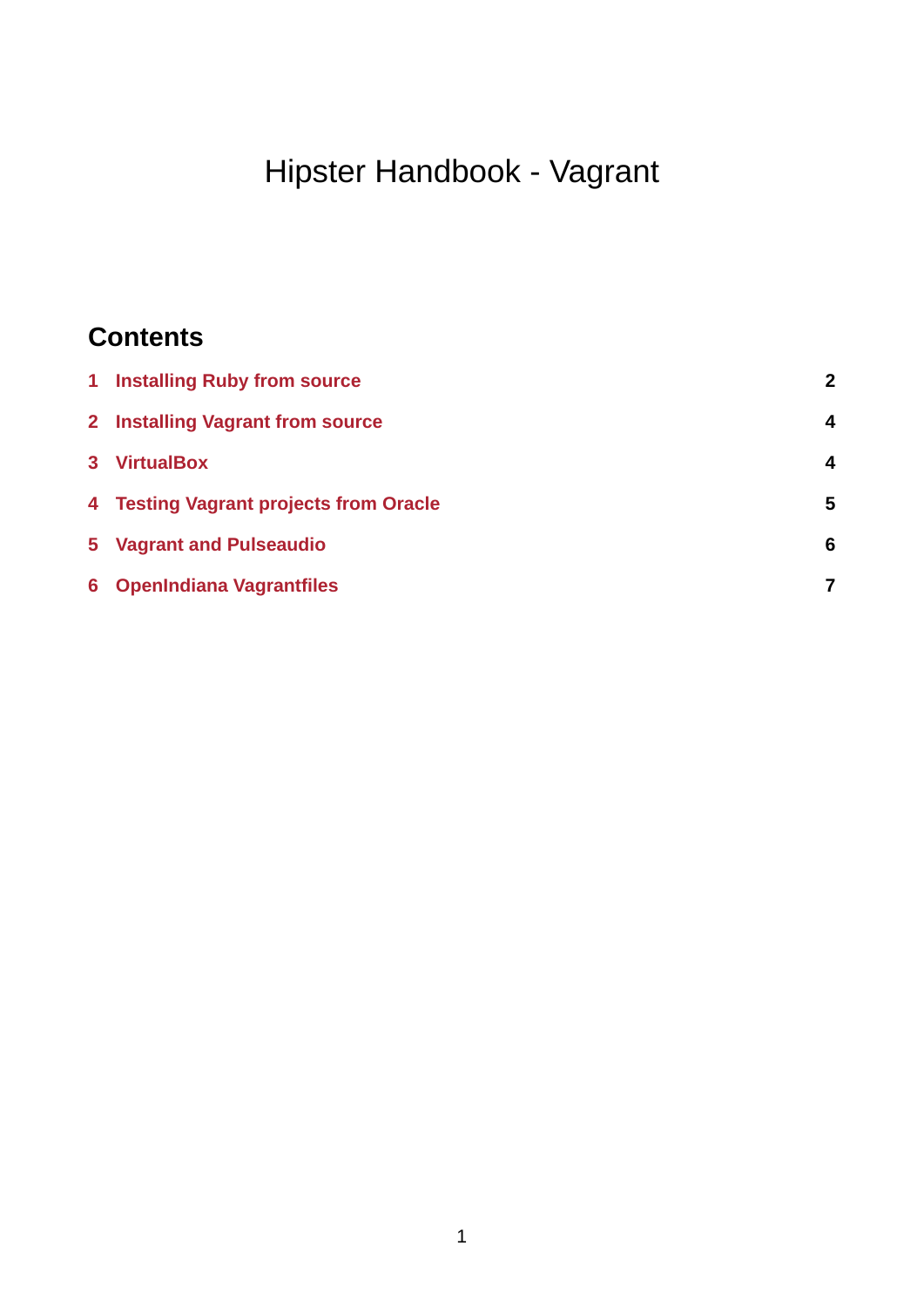# Hipster Handbook - Vagrant

# **Contents**

| 1 Installing Ruby from source          | $\overline{2}$ |
|----------------------------------------|----------------|
| 2 Installing Vagrant from source       | $\overline{4}$ |
| 3 VirtualBox                           | $\overline{4}$ |
| 4 Testing Vagrant projects from Oracle | 5              |
| 5 Vagrant and Pulseaudio               | 6              |
| 6 OpenIndiana Vagrantfiles             | 7              |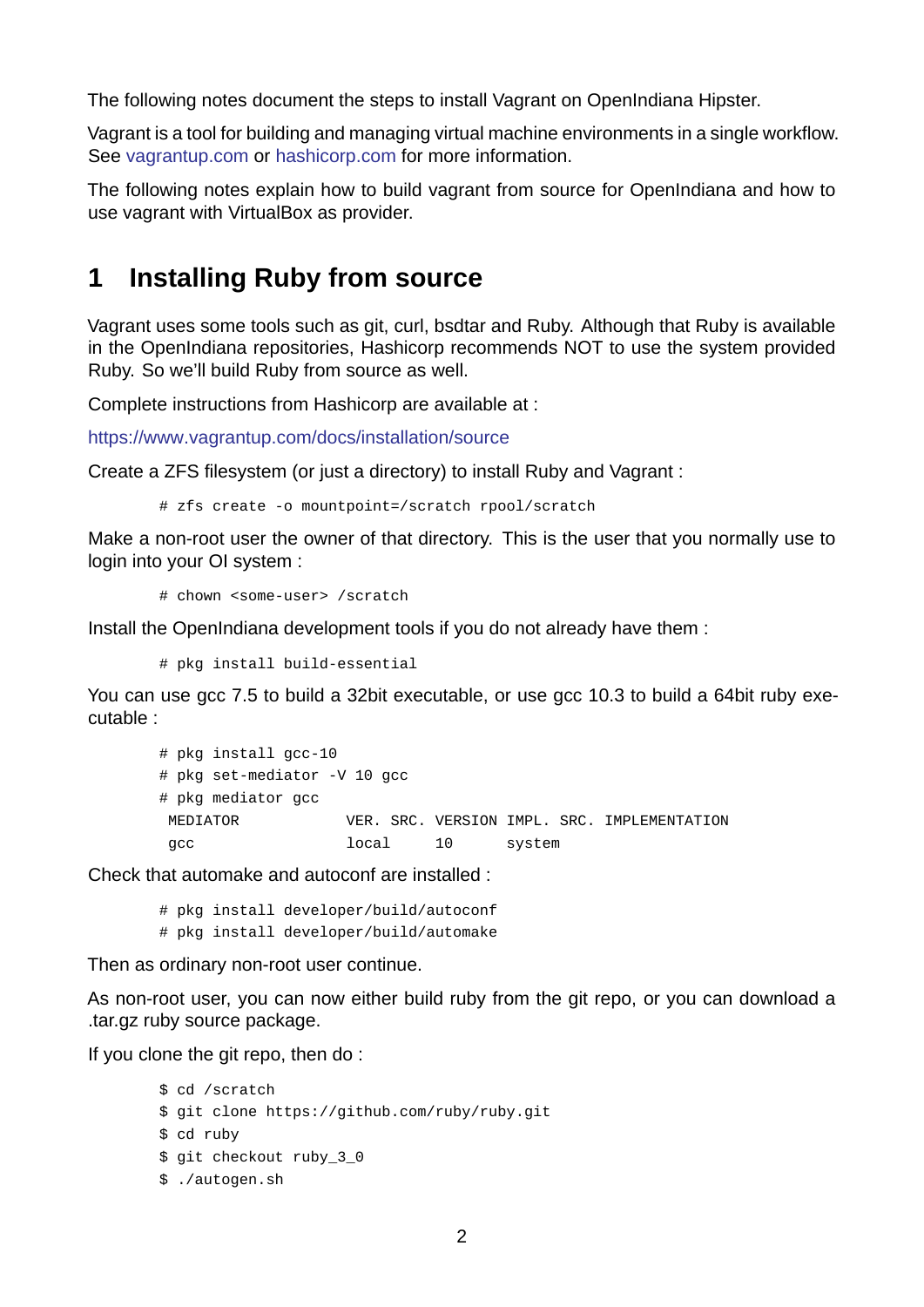The following notes document the steps to install Vagrant on OpenIndiana Hipster.

Vagrant is a tool for building and managing virtual machine environments in a single workflow. See vagrantup.com or hashicorp.com for more information.

The following notes explain how to build vagrant from source for OpenIndiana and how to use vagrant with VirtualBox as provider.

### **1 Installing Ruby from source**

<span id="page-1-0"></span>Vagrant uses some tools such as git, curl, bsdtar and Ruby. Although that Ruby is available in the OpenIndiana repositories, Hashicorp recommends NOT to use the system provided Ruby. So we'll build Ruby from source as well.

Complete instructions from Hashicorp are available at :

https://www.vagrantup.com/docs/installation/source

Create a ZFS filesystem (or just a directory) to install Ruby and Vagrant :

# zfs create -o mountpoint=/scratch rpool/scratch

Make a non-root user the owner of that directory. This is the user that you normally use to login into your OI system :

# chown <some-user> /scratch

Install the OpenIndiana development tools if you do not already have them :

# pkg install build-essential

You can use gcc 7.5 to build a 32bit executable, or use gcc 10.3 to build a 64bit ruby executable :

```
# pkg install gcc-10# pkg set-mediator -V 10 gcc
# pkg mediator gcc
MEDIATOR VER. SRC. VERSION IMPL. SRC. IMPLEMENTATION
gcc local 10 system
```
Check that automake and autoconf are installed :

# pkg install developer/build/autoconf # pkg install developer/build/automake

Then as ordinary non-root user continue.

As non-root user, you can now either build ruby from the git repo, or you can download a .tar.gz ruby source package.

If you clone the git repo, then do :

```
$ cd /scratch
$ git clone https://github.com/ruby/ruby.git
$ cd ruby
$ git checkout ruby_3_0
$ ./autogen.sh
```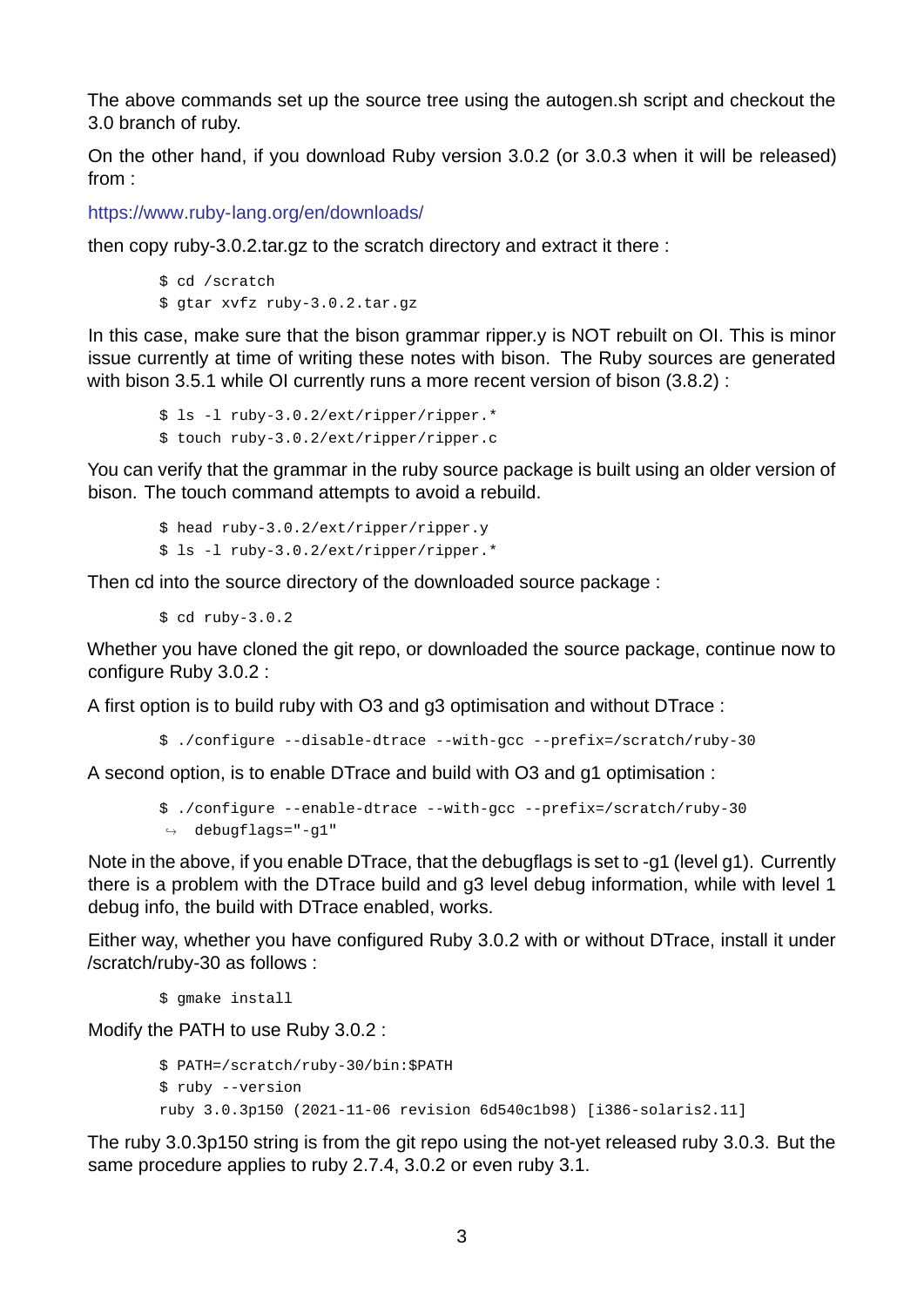The above commands set up the source tree using the autogen.sh script and checkout the 3.0 branch of ruby.

On the other hand, if you download Ruby version 3.0.2 (or 3.0.3 when it will be released) from :

https://www.ruby-lang.org/en/downloads/

then copy ruby-3.0.2.tar.gz to the scratch directory and extract it there :

```
$ cd /scratch
$ gtar xvfz ruby-3.0.2.tar.gz
```
In this case, make sure that the bison grammar ripper.y is NOT rebuilt on OI. This is minor issue currently at time of writing these notes with bison. The Ruby sources are generated with bison 3.5.1 while OI currently runs a more recent version of bison (3.8.2) :

\$ ls -1 ruby-3.0.2/ext/ripper/ripper.\* \$ touch ruby3.0.2/ext/ripper/ripper.c

You can verify that the grammar in the ruby source package is built using an older version of bison. The touch command attempts to avoid a rebuild.

\$ head ruby-3.0.2/ext/ripper/ripper.y \$ ls -1 ruby-3.0.2/ext/ripper/ripper.\*

Then cd into the source directory of the downloaded source package :

 $$ cd ruby-3.0.2$ 

Whether you have cloned the git repo, or downloaded the source package, continue now to configure Ruby 3.0.2 :

A first option is to build ruby with O3 and g3 optimisation and without DTrace :

\$ ./configure --disable-dtrace --with-gcc --prefix=/scratch/ruby-30

A second option, is to enable DTrace and build with O3 and g1 optimisation :

```
$ ./configure --enable-dtrace --with-gcc --prefix=/scratch/ruby-30
\leftrightarrow debugflags="-g1"
```
Note in the above, if you enable DTrace, that the debugflags is set to -g1 (level g1). Currently there is a problem with the DTrace build and g3 level debug information, while with level 1 debug info, the build with DTrace enabled, works.

Either way, whether you have configured Ruby 3.0.2 with or without DTrace, install it under /scratch/ruby-30 as follows :

\$ gmake install

Modify the PATH to use Ruby 3.0.2 :

```
$ PATH=/scratch/ruby-30/bin: $PATH
$ ruby -versionruby 3.0.3p150 (2021-11-06 revision 6d540c1b98) [i386-solaris2.11]
```
The ruby 3.0.3p150 string is from the git repo using the not-yet released ruby 3.0.3. But the same procedure applies to ruby 2.7.4, 3.0.2 or even ruby 3.1.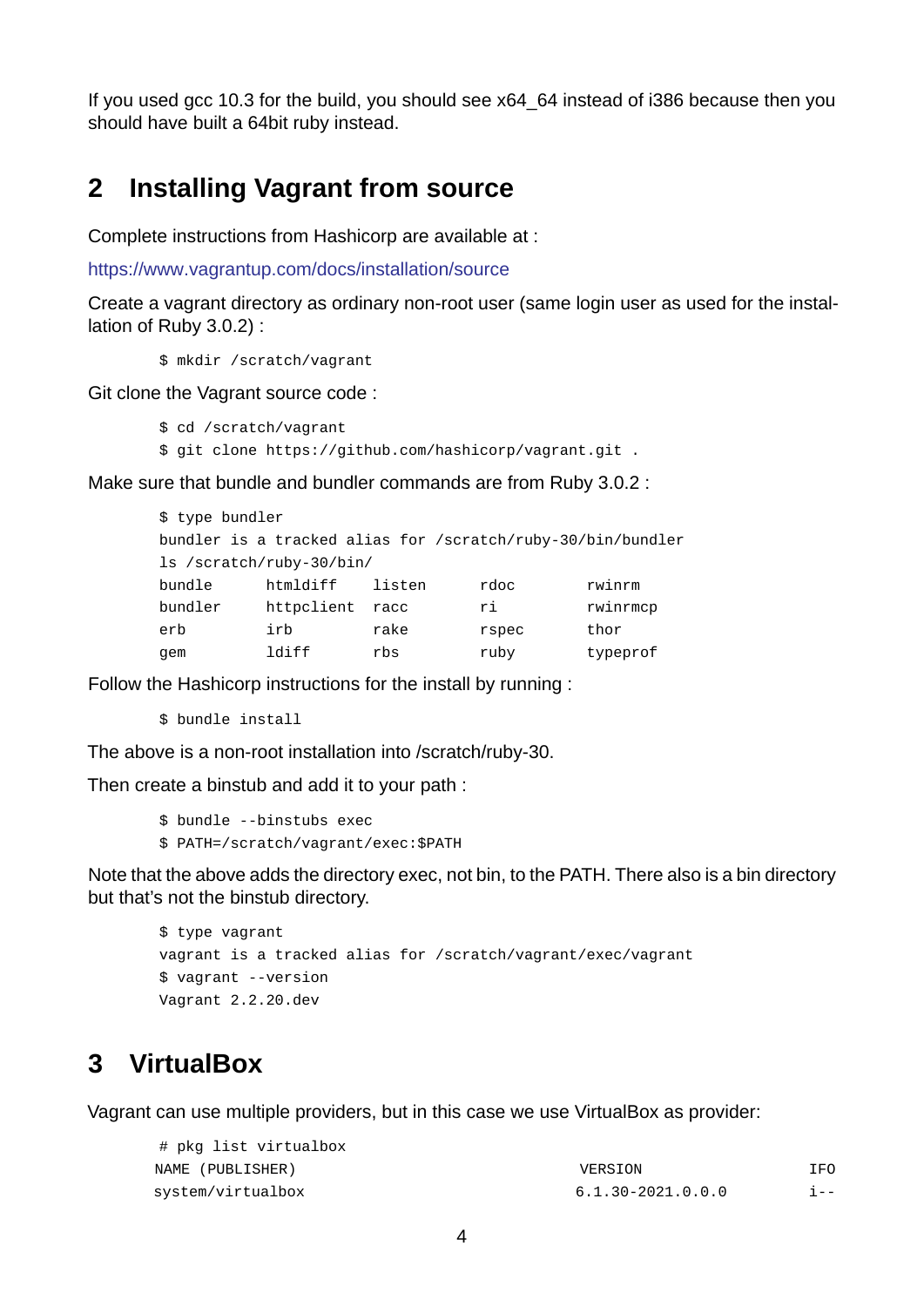If you used gcc 10.3 for the build, you should see x64\_64 instead of i386 because then you should have built a 64bit ruby instead.

#### **2 Installing Vagrant from source**

<span id="page-3-0"></span>Complete instructions from Hashicorp are available at :

https://www.vagrantup.com/docs/installation/source

Create a vagrant directory as ordinary non-root user (same login user as used for the installation of Ruby 3.0.2) :

[\\$ mkdir /scratch/vagrant](https://www.vagrantup.com/docs/installation/source)

Git clone the Vagrant source code :

```
$ cd /scratch/vagrant
```
\$ git clone https://github.com/hashicorp/vagrant.git .

Make sure that bundle and bundler commands are from Ruby 3.0.2 :

| \$ type bundler                                             |            |        |       |          |  |  |
|-------------------------------------------------------------|------------|--------|-------|----------|--|--|
| bundler is a tracked alias for /scratch/ruby-30/bin/bundler |            |        |       |          |  |  |
| ls /scratch/ruby-30/bin/                                    |            |        |       |          |  |  |
| bundle                                                      | htmldiff   | listen | rdoc  | rwinrm   |  |  |
| bundler                                                     | httpclient | racc   | ri    | rwinrmcp |  |  |
| erb                                                         | irb        | rake   | rspec | thor     |  |  |
| gem                                                         | ldiff      | rbs    | ruby  | typeprof |  |  |

Follow the Hashicorp instructions for the install by running :

\$ bundle install

The above is a non-root installation into /scratch/ruby-30.

Then create a binstub and add it to your path :

```
$ bundle --binstubs exec
```
\$ PATH=/scratch/vagrant/exec:\$PATH

Note that the above adds the directory exec, not bin, to the PATH. There also is a bin directory but that's not the binstub directory.

```
$ type vagrant
vagrant is a tracked alias for /scratch/vagrant/exec/vagrant
$ vagrant -versionVagrant 2.2.20.dev
```
### **3 VirtualBox**

<span id="page-3-1"></span>Vagrant can use multiple providers, but in this case we use VirtualBox as provider:

| # pkg list virtualbox |                   |         |
|-----------------------|-------------------|---------|
| NAME (PUBLISHER)      | VERSION           | IF0     |
| system/virtualbox     | 6.1.30-2021.0.0.0 | $1 - -$ |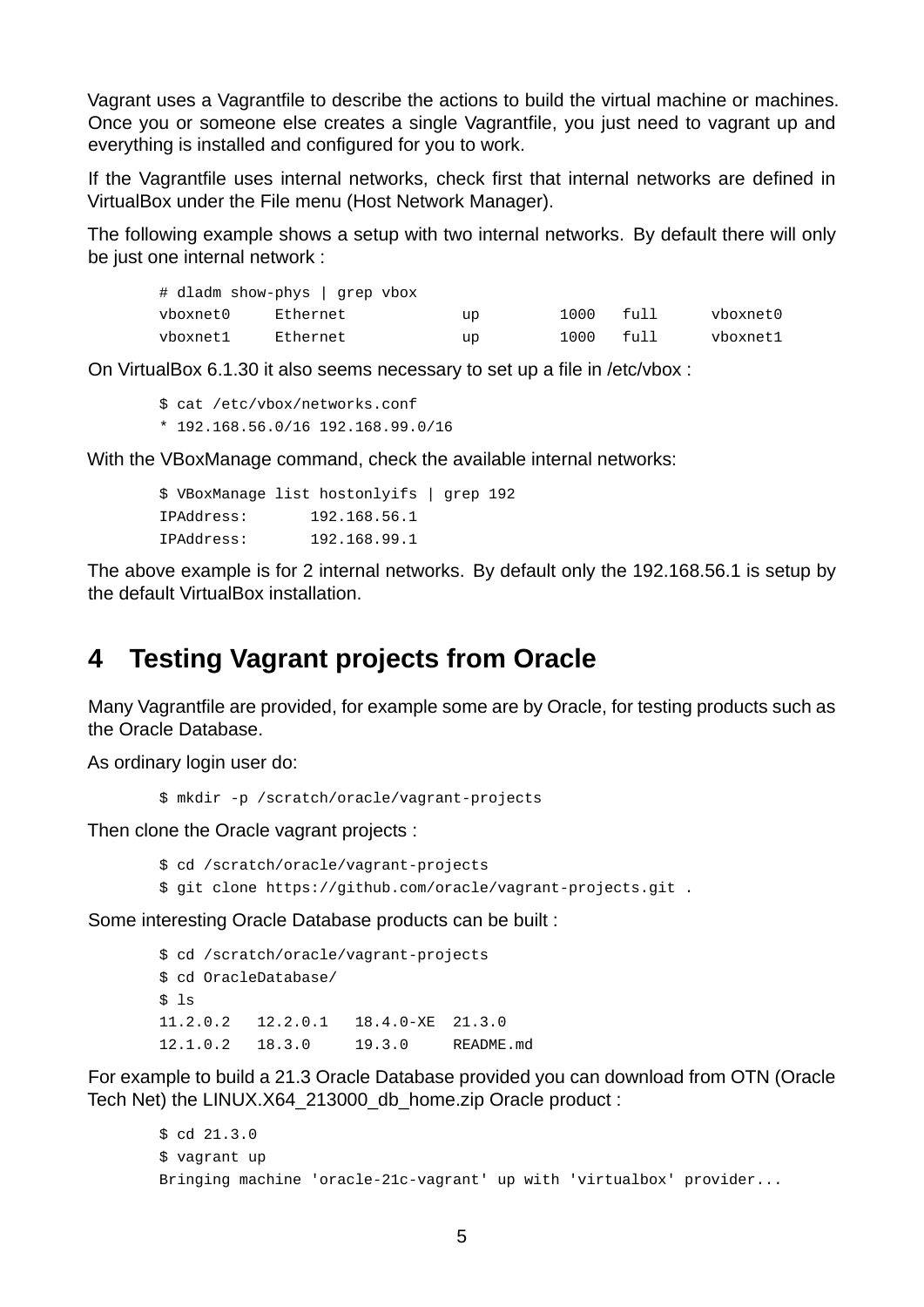Vagrant uses a Vagrantfile to describe the actions to build the virtual machine or machines. Once you or someone else creates a single Vagrantfile, you just need to vagrant up and everything is installed and configured for you to work.

If the Vagrantfile uses internal networks, check first that internal networks are defined in VirtualBox under the File menu (Host Network Manager).

The following example shows a setup with two internal networks. By default there will only be just one internal network :

|          | # dladm show-phys   grep vbox |    |      |       |          |
|----------|-------------------------------|----|------|-------|----------|
| vboxnet0 | Ethernet                      | up | 1000 | full  | vboxnet0 |
| vboxnet1 | Ethernet                      | up | 1000 | ful 1 | vboxnet1 |

On VirtualBox 6.1.30 it also seems necessary to set up a file in /etc/vbox :

```
$ cat /etc/vbox/networks.conf
* 192.168.56.0/16 192.168.99.0/16
```
With the VBoxManage command, check the available internal networks:

|            | \$ VBoxManaqe list hostonlyifs   grep 192 |  |  |
|------------|-------------------------------------------|--|--|
| IPAddress: | 192.168.56.1                              |  |  |
| IPAddress: | 192.168.99.1                              |  |  |

The above example is for 2 internal networks. By default only the 192.168.56.1 is setup by the default VirtualBox installation.

#### <span id="page-4-0"></span>**4 Testing Vagrant projects from Oracle**

Many Vagrantfile are provided, for example some are by Oracle, for testing products such as the Oracle Database.

As ordinary login user do:

\$ mkdir -p /scratch/oracle/vagrant-projects

Then clone the Oracle vagrant projects :

\$ cd /scratch/oracle/vagrant-projects

\$ git clone https://github.com/oracle/vagrant-projects.git .

Some interesting Oracle Database products can be built :

\$ cd /scratch/oracle/vagrant-projects \$ cd OracleDatabase/  $$1s$ 11.2.0.2 12.2.0.1 18.4.0-XE 21.3.0 12.1.0.2 18.3.0 19.3.0 README.md

For example to build a 21.3 Oracle Database provided you can download from OTN (Oracle Tech Net) the LINUX.X64\_213000\_db\_home.zip Oracle product :

```
$ cd 21.3.0
$ vagrant up
Bringing machine 'oracle-21c-vagrant' up with 'virtualbox' provider...
```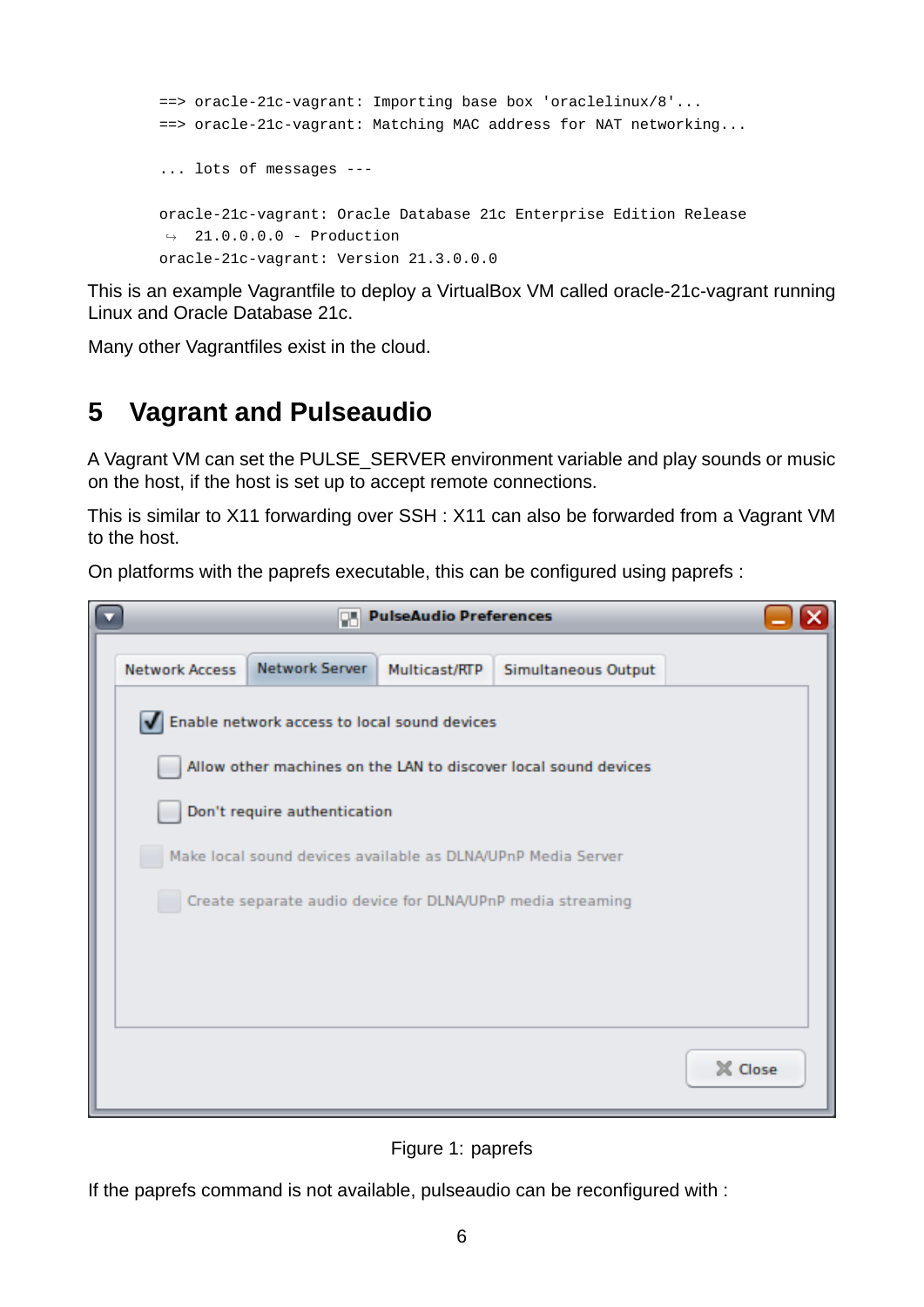```
==> oracle-21c-vagrant: Importing base box 'oraclelinux/8'...
==> oracle-21c-vagrant: Matching MAC address for NAT networking...
... lots of messages 
oracle-21c-vagrant: Oracle Database 21c Enterprise Edition Release
\rightarrow 21.0.0.0.0 - Production
oracle-21c-vagrant: Version 21.3.0.0.0
```
This is an example Vagrantfile to deploy a VirtualBox VM called oracle-21c-vagrant running Linux and Oracle Database 21c.

Many other Vagrantfiles exist in the cloud.

## **5 Vagrant and Pulseaudio**

A Vagrant VM can set the PULSE\_SERVER environment variable and play sounds or music on the host, if the host is set up to accept remote connections.

This is similar to X11 forwarding over SSH : X11 can also be forwarded from a Vagrant VM to the host.

On platforms with the paprefs executable, this can be configured using paprefs :



Figure 1: paprefs

If the paprefs command is not available, pulseaudio can be reconfigured with :